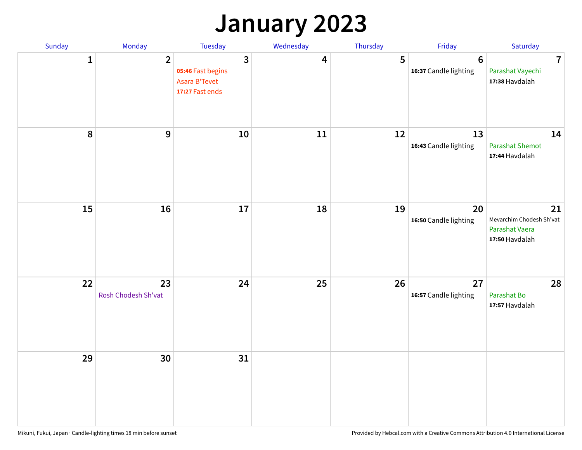## **January 2023**

| Sunday    | Monday                    | Tuesday                                                                        | Wednesday | Thursday | Friday                                   | Saturday                                                           |
|-----------|---------------------------|--------------------------------------------------------------------------------|-----------|----------|------------------------------------------|--------------------------------------------------------------------|
| 1         | $\overline{2}$            | $\overline{3}$<br>05:46 Fast begins<br><b>Asara B'Tevet</b><br>17:27 Fast ends | 4         | 5        | $6\phantom{1}6$<br>16:37 Candle lighting | $\overline{7}$<br>Parashat Vayechi<br>17:38 Havdalah               |
| $\pmb{8}$ | 9                         | 10                                                                             | 11        | 12       | 13<br>16:43 Candle lighting              | 14<br><b>Parashat Shemot</b><br>17:44 Havdalah                     |
| 15        | 16                        | 17                                                                             | 18        | 19       | 20<br>16:50 Candle lighting              | 21<br>Mevarchim Chodesh Sh'vat<br>Parashat Vaera<br>17:50 Havdalah |
| 22        | 23<br>Rosh Chodesh Sh'vat | 24                                                                             | 25        | 26       | 27<br>16:57 Candle lighting              | 28<br>Parashat Bo<br>17:57 Havdalah                                |
| 29        | 30                        | 31                                                                             |           |          |                                          |                                                                    |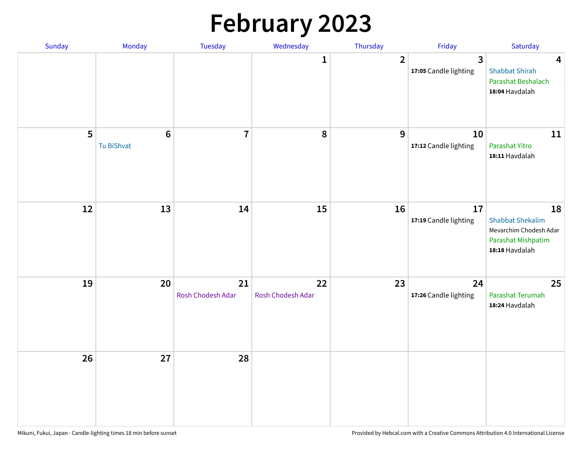# **February 2023**

| Sunday | Monday                        | Tuesday                 | Wednesday               | Thursday       | Friday                                  | Saturday                                                                                        |
|--------|-------------------------------|-------------------------|-------------------------|----------------|-----------------------------------------|-------------------------------------------------------------------------------------------------|
|        |                               |                         | 1                       | $\overline{2}$ | $\overline{3}$<br>17:05 Candle lighting | $\overline{\mathbf{4}}$<br><b>Shabbat Shirah</b><br>Parashat Beshalach<br>18:04 Havdalah        |
| 5      | $6\phantom{1}6$<br>Tu BiShvat | $\overline{7}$          | 8                       | 9              | 10<br>17:12 Candle lighting             | 11<br>Parashat Yitro<br>18:11 Havdalah                                                          |
| 12     | 13                            | 14                      | 15                      | 16             | 17<br>17:19 Candle lighting             | 18<br><b>Shabbat Shekalim</b><br>Mevarchim Chodesh Adar<br>Parashat Mishpatim<br>18:18 Havdalah |
| 19     | 20                            | 21<br>Rosh Chodesh Adar | 22<br>Rosh Chodesh Adar | 23             | 24<br>17:26 Candle lighting             | 25<br>Parashat Terumah<br>18:24 Havdalah                                                        |
| 26     | 27                            | 28                      |                         |                |                                         |                                                                                                 |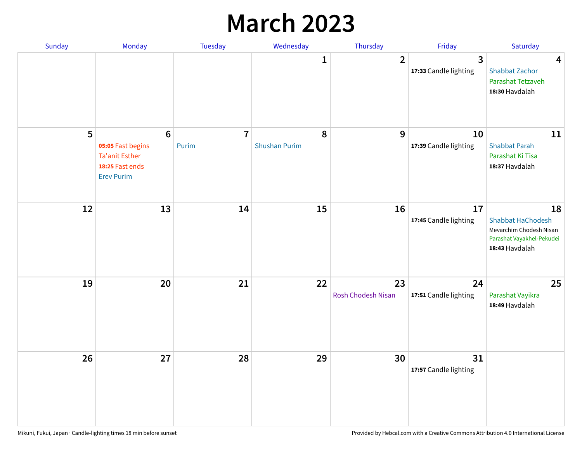## **March 2023**

| Sunday | Monday                                                                                                | Tuesday                 | Wednesday                 | Thursday                 | Friday                      | Saturday                                                                                                 |
|--------|-------------------------------------------------------------------------------------------------------|-------------------------|---------------------------|--------------------------|-----------------------------|----------------------------------------------------------------------------------------------------------|
|        |                                                                                                       |                         | 1                         | $\overline{2}$           | 3<br>17:33 Candle lighting  | $\overline{\mathbf{4}}$<br><b>Shabbat Zachor</b><br>Parashat Tetzaveh<br>18:30 Havdalah                  |
| 5      | $6\phantom{1}6$<br>05:05 Fast begins<br><b>Ta'anit Esther</b><br>18:25 Fast ends<br><b>Erev Purim</b> | $\overline{7}$<br>Purim | 8<br><b>Shushan Purim</b> | 9                        | 10<br>17:39 Candle lighting | 11<br><b>Shabbat Parah</b><br>Parashat Ki Tisa<br>18:37 Havdalah                                         |
| 12     | 13                                                                                                    | 14                      | 15                        | 16                       | 17<br>17:45 Candle lighting | 18<br><b>Shabbat HaChodesh</b><br>Mevarchim Chodesh Nisan<br>Parashat Vayakhel-Pekudei<br>18:43 Havdalah |
| 19     | 20                                                                                                    | 21                      | 22                        | 23<br>Rosh Chodesh Nisan | 24<br>17:51 Candle lighting | 25<br>Parashat Vayikra<br>18:49 Havdalah                                                                 |
| 26     | 27                                                                                                    | 28                      | 29                        | 30                       | 31<br>17:57 Candle lighting |                                                                                                          |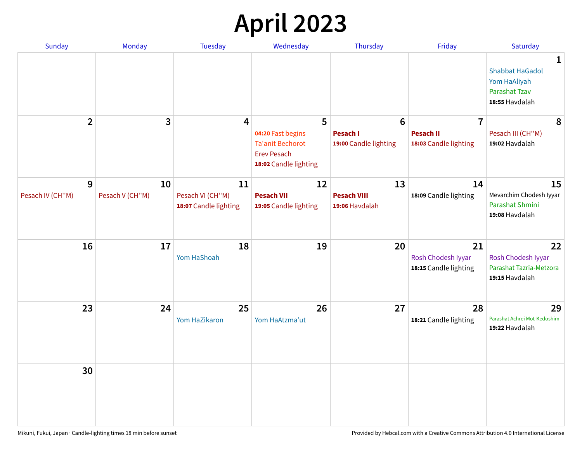# **April 2023**

| Sunday           | Monday          | <b>Tuesday</b>                            | Wednesday                                                                                   | Thursday                                 | Friday                                            | Saturday                                                                              |
|------------------|-----------------|-------------------------------------------|---------------------------------------------------------------------------------------------|------------------------------------------|---------------------------------------------------|---------------------------------------------------------------------------------------|
|                  |                 |                                           |                                                                                             |                                          |                                                   | 1<br><b>Shabbat HaGadol</b><br>Yom HaAliyah<br><b>Parashat Tzav</b><br>18:55 Havdalah |
| $\overline{2}$   | 3               | 4                                         | 5                                                                                           | $6\phantom{1}6$                          | $\overline{7}$                                    | 8                                                                                     |
|                  |                 |                                           | 04:20 Fast begins<br><b>Ta'anit Bechorot</b><br><b>Erev Pesach</b><br>18:02 Candle lighting | <b>Pesach I</b><br>19:00 Candle lighting | <b>Pesach II</b><br>18:03 Candle lighting         | Pesach III (CH"M)<br>19:02 Havdalah                                                   |
| 9                | 10              | 11                                        | 12                                                                                          | 13                                       | 14                                                | 15                                                                                    |
| Pesach IV (CH"M) | Pesach V (CH"M) | Pesach VI (CH"M)<br>18:07 Candle lighting | <b>Pesach VII</b><br>19:05 Candle lighting                                                  | <b>Pesach VIII</b><br>19:06 Havdalah     | 18:09 Candle lighting                             | Mevarchim Chodesh Iyyar<br>Parashat Shmini<br>19:08 Havdalah                          |
| 16               | 17              | 18<br>Yom HaShoah                         | 19                                                                                          | 20                                       | 21<br>Rosh Chodesh Iyyar<br>18:15 Candle lighting | 22<br>Rosh Chodesh Iyyar<br>Parashat Tazria-Metzora<br>19:15 Havdalah                 |
| 23               | 24              | 25<br>Yom HaZikaron                       | 26<br>Yom HaAtzma'ut                                                                        | 27                                       | 28<br>18:21 Candle lighting                       | 29<br>Parashat Achrei Mot-Kedoshim<br>19:22 Havdalah                                  |
| 30               |                 |                                           |                                                                                             |                                          |                                                   |                                                                                       |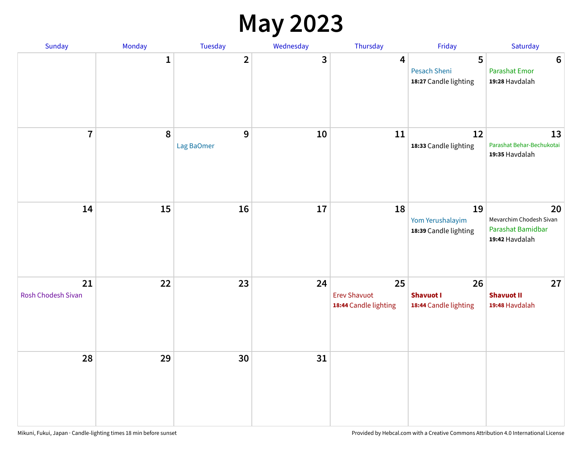#### **May 2023**

| Sunday                          | Monday       | Tuesday                      | Wednesday | Thursday                                           | Friday                                            | Saturday                                                             |
|---------------------------------|--------------|------------------------------|-----------|----------------------------------------------------|---------------------------------------------------|----------------------------------------------------------------------|
|                                 | $\mathbf{1}$ | $\overline{\mathbf{2}}$      | 3         | $\overline{\mathbf{4}}$                            | 5<br><b>Pesach Sheni</b><br>18:27 Candle lighting | $\boldsymbol{6}$<br><b>Parashat Emor</b><br>19:28 Havdalah           |
| $\overline{7}$                  | $\pmb{8}$    | $\overline{9}$<br>Lag BaOmer | 10        | 11                                                 | 12<br>18:33 Candle lighting                       | 13<br>Parashat Behar-Bechukotai<br>19:35 Havdalah                    |
| 14                              | 15           | 16                           | $17\,$    | 18                                                 | 19<br>Yom Yerushalayim<br>18:39 Candle lighting   | 20<br>Mevarchim Chodesh Sivan<br>Parashat Bamidbar<br>19:42 Havdalah |
| 21<br><b>Rosh Chodesh Sivan</b> | 22           | 23                           | 24        | 25<br><b>Erev Shavuot</b><br>18:44 Candle lighting | 26<br><b>Shavuot I</b><br>18:44 Candle lighting   | 27<br><b>Shavuot II</b><br>19:48 Havdalah                            |
| 28                              | 29           | 30                           | 31        |                                                    |                                                   |                                                                      |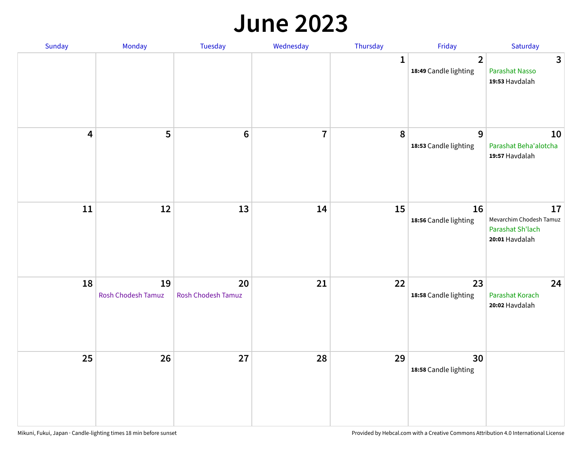#### **June 2023**

| Sunday                  | Monday                   | Tuesday                         | Wednesday      | Thursday     | Friday                                  | Saturday                                                            |
|-------------------------|--------------------------|---------------------------------|----------------|--------------|-----------------------------------------|---------------------------------------------------------------------|
|                         |                          |                                 |                | $\mathbf{1}$ | $\overline{2}$<br>18:49 Candle lighting | $\mathbf{3}$<br>Parashat Nasso<br>19:53 Havdalah                    |
| $\overline{\mathbf{4}}$ | 5                        | $\bf 6$                         | $\overline{7}$ | 8            | 9<br>18:53 Candle lighting              | 10<br>Parashat Beha'alotcha<br>19:57 Havdalah                       |
| $11\,$                  | 12                       | 13                              | 14             | 15           | 16<br>18:56 Candle lighting             | 17<br>Mevarchim Chodesh Tamuz<br>Parashat Sh'lach<br>20:01 Havdalah |
| 18                      | 19<br>Rosh Chodesh Tamuz | 20<br><b>Rosh Chodesh Tamuz</b> | 21             | 22           | 23<br>18:58 Candle lighting             | 24<br>Parashat Korach<br>20:02 Havdalah                             |
| 25                      | 26                       | 27                              | 28             | 29           | 30<br>18:58 Candle lighting             |                                                                     |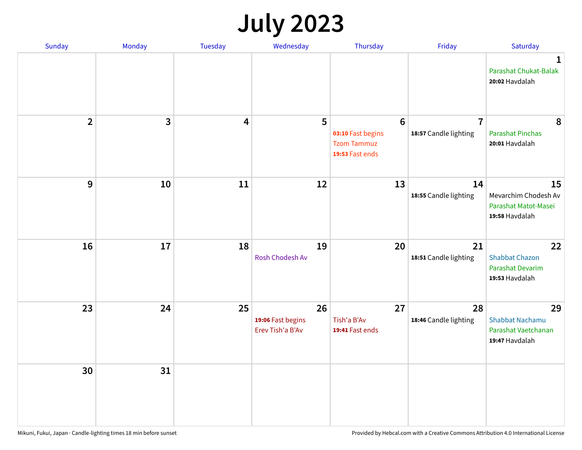# **July 2023**

| Sunday         | Monday       | <b>Tuesday</b>          | Wednesday                                   | Thursday                                                                      | Friday                                  | Saturday                                                              |
|----------------|--------------|-------------------------|---------------------------------------------|-------------------------------------------------------------------------------|-----------------------------------------|-----------------------------------------------------------------------|
|                |              |                         |                                             |                                                                               |                                         | $\mathbf 1$<br>Parashat Chukat-Balak<br>20:02 Havdalah                |
| $\overline{2}$ | $\mathbf{3}$ | $\overline{\mathbf{4}}$ | 5                                           | $6\phantom{1}6$<br>03:10 Fast begins<br><b>Tzom Tammuz</b><br>19:53 Fast ends | $\overline{7}$<br>18:57 Candle lighting | 8<br><b>Parashat Pinchas</b><br>20:01 Havdalah                        |
| 9              | 10           | 11                      | 12                                          | 13                                                                            | 14<br>18:55 Candle lighting             | 15<br>Mevarchim Chodesh Av<br>Parashat Matot-Masei<br>19:58 Havdalah  |
| 16             | 17           | 18                      | 19<br>Rosh Chodesh Av                       | 20                                                                            | 21<br>18:51 Candle lighting             | 22<br><b>Shabbat Chazon</b><br>Parashat Devarim<br>19:53 Havdalah     |
| 23             | 24           | 25                      | 26<br>19:06 Fast begins<br>Erev Tish'a B'Av | 27<br>Tish'a B'Av<br>19:41 Fast ends                                          | 28<br>18:46 Candle lighting             | 29<br><b>Shabbat Nachamu</b><br>Parashat Vaetchanan<br>19:47 Havdalah |
| 30             | 31           |                         |                                             |                                                                               |                                         |                                                                       |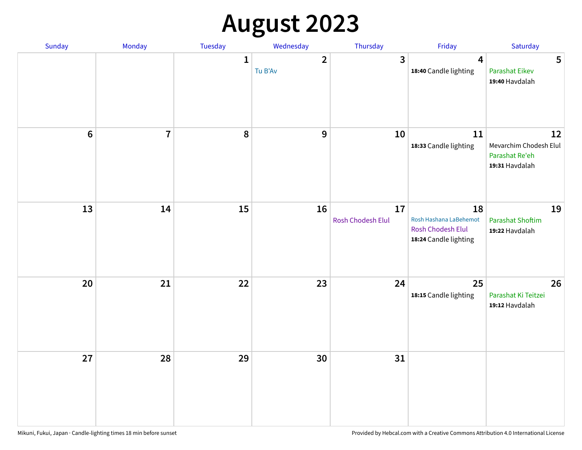# **August 2023**

| Sunday | Monday         | Tuesday      | Wednesday                          | Thursday                | Friday                                                                     | Saturday                                                         |
|--------|----------------|--------------|------------------------------------|-------------------------|----------------------------------------------------------------------------|------------------------------------------------------------------|
|        |                | $\mathbf{1}$ | $\overline{\mathbf{2}}$<br>Tu B'Av | $\overline{3}$          | 4<br>18:40 Candle lighting                                                 | 5<br><b>Parashat Eikev</b><br>19:40 Havdalah                     |
| $6\,$  | $\overline{7}$ | 8            | 9                                  | 10                      | $11\,$<br>18:33 Candle lighting                                            | 12<br>Mevarchim Chodesh Elul<br>Parashat Re'eh<br>19:31 Havdalah |
| 13     | 14             | 15           | 16                                 | 17<br>Rosh Chodesh Elul | 18<br>Rosh Hashana LaBehemot<br>Rosh Chodesh Elul<br>18:24 Candle lighting | 19<br><b>Parashat Shoftim</b><br>19:22 Havdalah                  |
| 20     | 21             | 22           | 23                                 | 24                      | 25<br>18:15 Candle lighting                                                | 26<br>Parashat Ki Teitzei<br>19:12 Havdalah                      |
| 27     | 28             | 29           | 30                                 | 31                      |                                                                            |                                                                  |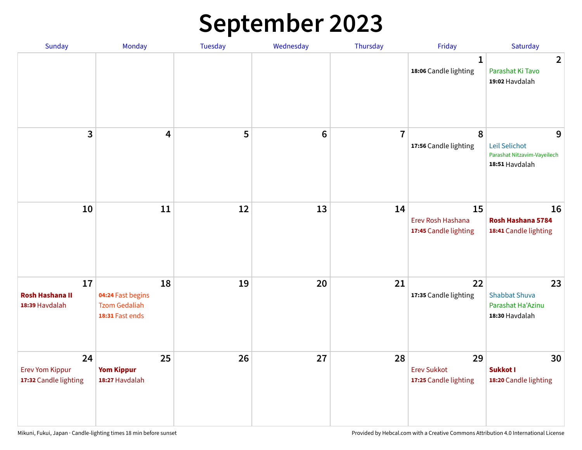# **September 2023**

| Sunday                                                | Monday                                                             | <b>Tuesday</b> | Wednesday      | Thursday       | Friday                                            | Saturday                                                            |
|-------------------------------------------------------|--------------------------------------------------------------------|----------------|----------------|----------------|---------------------------------------------------|---------------------------------------------------------------------|
|                                                       |                                                                    |                |                |                | 1<br>18:06 Candle lighting                        | $\overline{2}$<br>Parashat Ki Tavo<br>19:02 Havdalah                |
| 3                                                     | $\overline{\mathbf{4}}$                                            | 5              | $6\phantom{1}$ | $\overline{7}$ | 8<br>17:56 Candle lighting                        | 9<br>Leil Selichot<br>Parashat Nitzavim-Vayeilech<br>18:51 Havdalah |
| 10                                                    | 11                                                                 | 12             | 13             | 14             | 15<br>Erev Rosh Hashana<br>17:45 Candle lighting  | 16<br>Rosh Hashana 5784<br>18:41 Candle lighting                    |
| 17<br><b>Rosh Hashana II</b><br>18:39 Havdalah        | 18<br>04:24 Fast begins<br><b>Tzom Gedaliah</b><br>18:31 Fast ends | 19             | 20             | 21             | 22<br>17:35 Candle lighting                       | 23<br><b>Shabbat Shuva</b><br>Parashat Ha'Azinu<br>18:30 Havdalah   |
| 24<br><b>Erev Yom Kippur</b><br>17:32 Candle lighting | 25<br><b>Yom Kippur</b><br>18:27 Havdalah                          | 26             | 27             | 28             | 29<br><b>Erev Sukkot</b><br>17:25 Candle lighting | 30<br>Sukkot I<br>18:20 Candle lighting                             |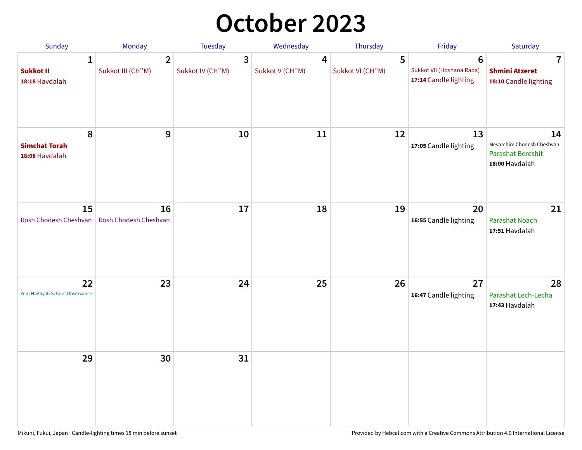## **October 2023**

| Sunday                                             | Monday                              | <b>Tuesday</b>        | Wednesday                         | Thursday              | Friday                                                               | Saturday                                                                       |
|----------------------------------------------------|-------------------------------------|-----------------------|-----------------------------------|-----------------------|----------------------------------------------------------------------|--------------------------------------------------------------------------------|
| $\mathbf{1}$<br><b>Sukkot II</b><br>18:18 Havdalah | $\overline{2}$<br>Sukkot III (CH"M) | 3<br>Sukkot IV (CH"M) | $\overline{4}$<br>Sukkot V (CH"M) | 5<br>Sukkot VI (CH"M) | $6\phantom{1}$<br>Sukkot VII (Hoshana Raba)<br>17:14 Candle lighting | $\overline{\mathbf{7}}$<br><b>Shmini Atzeret</b><br>18:10 Candle lighting      |
| 8<br><b>Simchat Torah</b><br>18:08 Havdalah        | 9                                   | 10                    | 11                                | 12                    | 13<br>17:05 Candle lighting                                          | 14<br>Mevarchim Chodesh Cheshvan<br><b>Parashat Bereshit</b><br>18:00 Havdalah |
| 15<br>Rosh Chodesh Cheshvan                        | 16<br>Rosh Chodesh Cheshvan         | 17                    | 18                                | 19                    | 20<br>16:55 Candle lighting                                          | 21<br>Parashat Noach<br>17:51 Havdalah                                         |
| 22<br>Yom HaAliyah School Observance               | 23                                  | 24                    | 25                                | 26                    | 27<br>16:47 Candle lighting                                          | 28<br>Parashat Lech-Lecha<br>17:43 Havdalah                                    |
| 29                                                 | 30                                  | 31                    |                                   |                       |                                                                      |                                                                                |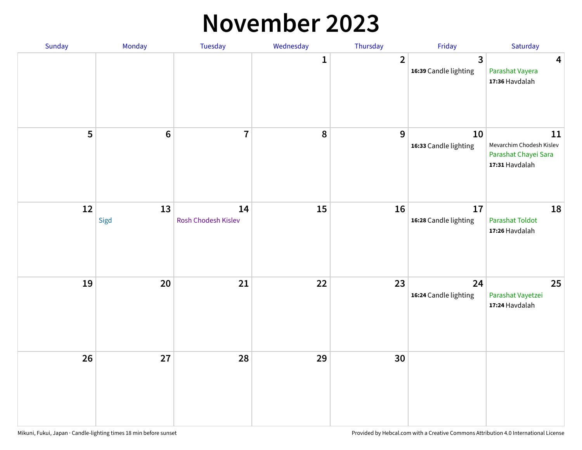#### **November 2023**

| Sunday | Monday          | Tuesday                   | Wednesday | Thursday       | Friday                      | Saturday                                                                 |
|--------|-----------------|---------------------------|-----------|----------------|-----------------------------|--------------------------------------------------------------------------|
|        |                 |                           | 1         | $\overline{2}$ | 3<br>16:39 Candle lighting  | $\overline{\mathbf{4}}$<br>Parashat Vayera<br>17:36 Havdalah             |
| 5      | $6\phantom{1}6$ | $\overline{1}$            | 8         | 9              | 10<br>16:33 Candle lighting | 11<br>Mevarchim Chodesh Kislev<br>Parashat Chayei Sara<br>17:31 Havdalah |
| 12     | 13<br>Sigd      | 14<br>Rosh Chodesh Kislev | 15        | 16             | 17<br>16:28 Candle lighting | 18<br><b>Parashat Toldot</b><br>17:26 Havdalah                           |
| 19     | 20              | 21                        | 22        | 23             | 24<br>16:24 Candle lighting | 25<br>Parashat Vayetzei<br>17:24 Havdalah                                |
| 26     | 27              | 28                        | 29        | 30             |                             |                                                                          |